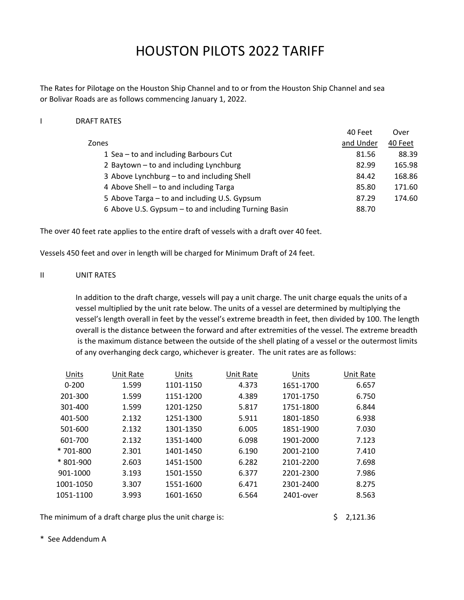# HOUSTON PILOTS 2022 TARIFF

The Rates for Pilotage on the Houston Ship Channel and to or from the Houston Ship Channel and sea or Bolivar Roads are as follows commencing January 1, 2022.

#### I DRAFT RATES

|                                                      | 40 Feet   | Over    |
|------------------------------------------------------|-----------|---------|
| Zones                                                | and Under | 40 Feet |
| 1 Sea – to and including Barbours Cut                | 81.56     | 88.39   |
| 2 Baytown - to and including Lynchburg               | 82.99     | 165.98  |
| 3 Above Lynchburg - to and including Shell           | 84.42     | 168.86  |
| 4 Above Shell – to and including Targa               | 85.80     | 171.60  |
| 5 Above Targa – to and including U.S. Gypsum         | 87.29     | 174.60  |
| 6 Above U.S. Gypsum - to and including Turning Basin | 88.70     |         |

The over 40 feet rate applies to the entire draft of vessels with a draft over 40 feet.

Vessels 450 feet and over in length will be charged for Minimum Draft of 24 feet.

# II UNIT RATES

In addition to the draft charge, vessels will pay a unit charge. The unit charge equals the units of a vessel multiplied by the unit rate below. The units of a vessel are determined by multiplying the vessel's length overall in feet by the vessel's extreme breadth in feet, then divided by 100. The length overall is the distance between the forward and after extremities of the vessel. The extreme breadth is the maximum distance between the outside of the shell plating of a vessel or the outermost limits of any overhanging deck cargo, whichever is greater. The unit rates are as follows:

| Units     | Unit Rate | Units     | Unit Rate | Units     | Unit Rate |
|-----------|-----------|-----------|-----------|-----------|-----------|
| $0 - 200$ | 1.599     | 1101-1150 | 4.373     | 1651-1700 | 6.657     |
| 201-300   | 1.599     | 1151-1200 | 4.389     | 1701-1750 | 6.750     |
| 301-400   | 1.599     | 1201-1250 | 5.817     | 1751-1800 | 6.844     |
| 401-500   | 2.132     | 1251-1300 | 5.911     | 1801-1850 | 6.938     |
| 501-600   | 2.132     | 1301-1350 | 6.005     | 1851-1900 | 7.030     |
| 601-700   | 2.132     | 1351-1400 | 6.098     | 1901-2000 | 7.123     |
| * 701-800 | 2.301     | 1401-1450 | 6.190     | 2001-2100 | 7.410     |
| * 801-900 | 2.603     | 1451-1500 | 6.282     | 2101-2200 | 7.698     |
| 901-1000  | 3.193     | 1501-1550 | 6.377     | 2201-2300 | 7.986     |
| 1001-1050 | 3.307     | 1551-1600 | 6.471     | 2301-2400 | 8.275     |
| 1051-1100 | 3.993     | 1601-1650 | 6.564     | 2401-over | 8.563     |
|           |           |           |           |           |           |

The minimum of a draft charge plus the unit charge is:  $\frac{1}{2}$  2,121.36

\* See Addendum A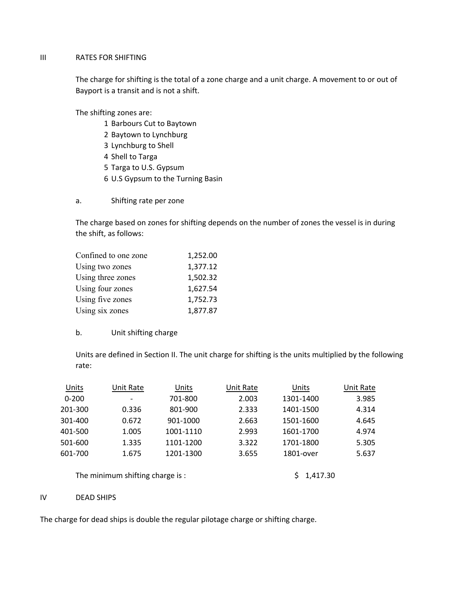#### III RATES FOR SHIFTING

Bayport is a transit and is not a shift. The charge for shifting is the total of a zone charge and a unit charge. A movement to or out of

The shifting zones are:

- 1 Barbours Cut to Baytown
- 2 Baytown to Lynchburg
- 3 Lynchburg to Shell
- 4 Shell to Targa
- 5 Targa to U.S. Gypsum
- 6 U.S Gypsum to the Turning Basin
- a. Shifting rate per zone

The charge based on zones for shifting depends on the number of zones the vessel is in during the shift, as follows:

| Confined to one zone | 1,252.00 |
|----------------------|----------|
| Using two zones      | 1,377.12 |
| Using three zones    | 1,502.32 |
| Using four zones     | 1,627.54 |
| Using five zones     | 1,752.73 |
| Using six zones      | 1,877.87 |

#### b. Unit shifting charge

Units are defined in Section II. The unit charge for shifting is the units multiplied by the following rate:

| Units     | Unit Rate                | Units     | Unit Rate | Units     | Unit Rate |
|-----------|--------------------------|-----------|-----------|-----------|-----------|
| $0 - 200$ | $\overline{\phantom{a}}$ | 701-800   | 2.003     | 1301-1400 | 3.985     |
| 201-300   | 0.336                    | 801-900   | 2.333     | 1401-1500 | 4.314     |
| 301-400   | 0.672                    | 901-1000  | 2.663     | 1501-1600 | 4.645     |
| 401-500   | 1.005                    | 1001-1110 | 2.993     | 1601-1700 | 4.974     |
| 501-600   | 1.335                    | 1101-1200 | 3.322     | 1701-1800 | 5.305     |
| 601-700   | 1.675                    | 1201-1300 | 3.655     | 1801-over | 5.637     |
|           |                          |           |           |           |           |

The minimum shifting charge is :  $\frac{1}{4}$  \$ 1,417.30

#### IV DEAD SHIPS

The charge for dead ships is double the regular pilotage charge or shifting charge.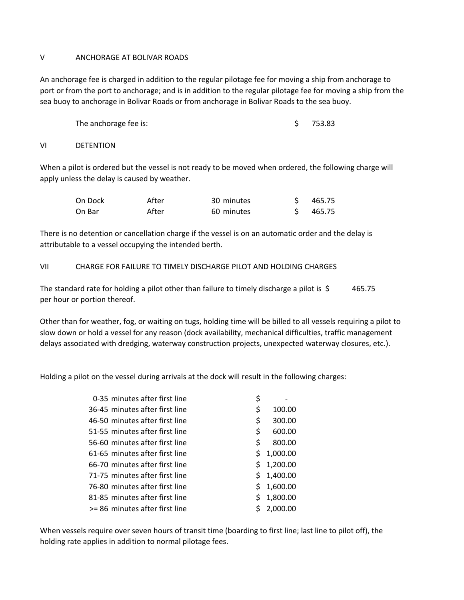#### V ANCHORAGE AT BOLIVAR ROADS

An anchorage fee is charged in addition to the regular pilotage fee for moving a ship from anchorage to port or from the port to anchorage; and is in addition to the regular pilotage fee for moving a ship from the sea buoy to anchorage in Bolivar Roads or from anchorage in Bolivar Roads to the sea buoy.

The anchorage fee is:  $\angle$  753.83

VI DETENTION

When a pilot is ordered but the vessel is not ready to be moved when ordered, the following charge will apply unless the delay is caused by weather.

| On Dock | After | 30 minutes | \$465.75 |
|---------|-------|------------|----------|
| On Bar  | After | 60 minutes | \$465.75 |

There is no detention or cancellation charge if the vessel is on an automatic order and the delay is attributable to a vessel occupying the intended berth.

#### VII CHARGE FOR FAILURE TO TIMELY DISCHARGE PILOT AND HOLDING CHARGES

The standard rate for holding a pilot other than failure to timely discharge a pilot is  $\lessgtr 465.75$ per hour or portion thereof.

Other than for weather, fog, or waiting on tugs, holding time will be billed to all vessels requiring a pilot to slow down or hold a vessel for any reason (dock availability, mechanical difficulties, traffic management delays associated with dredging, waterway construction projects, unexpected waterway closures, etc.).

Holding a pilot on the vessel during arrivals at the dock will result in the following charges:

| 0-35 minutes after first line  | \$ |          |
|--------------------------------|----|----------|
| 36-45 minutes after first line | \$ | 100.00   |
| 46-50 minutes after first line | \$ | 300.00   |
| 51-55 minutes after first line | \$ | 600.00   |
| 56-60 minutes after first line | \$ | 800.00   |
| 61-65 minutes after first line | \$ | 1,000.00 |
| 66-70 minutes after first line | \$ | 1,200.00 |
| 71-75 minutes after first line | \$ | 1,400.00 |
| 76-80 minutes after first line | Ś. | 1,600.00 |
| 81-85 minutes after first line | Ś  | 1,800.00 |
| >= 86 minutes after first line |    | 2.000.00 |

When vessels require over seven hours of transit time (boarding to first line; last line to pilot off), the holding rate applies in addition to normal pilotage fees.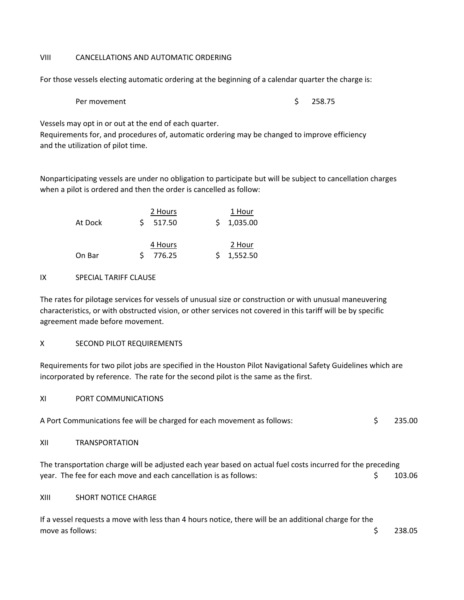# VIII CANCELLATIONS AND AUTOMATIC ORDERING

For those vessels electing automatic ordering at the beginning of a calendar quarter the charge is:

```
Per movement \sim 258.75
```
Vessels may opt in or out at the end of each quarter.

Requirements for, and procedures of, automatic ordering may be changed to improve efficiency and the utilization of pilot time.

Nonparticipating vessels are under no obligation to participate but will be subject to cancellation charges when a pilot is ordered and then the order is cancelled as follow:

| At Dock | 2 Hours<br>517.50 |  | 1 Hour<br>\$1,035.00 |
|---------|-------------------|--|----------------------|
| On Bar  | 4 Hours<br>776.25 |  | 2 Hour<br>1,552.50   |

# IX SPECIAL TARIFF CLAUSE

The rates for pilotage services for vessels of unusual size or construction or with unusual maneuvering characteristics, or with obstructed vision, or other services not covered in this tariff will be by specific agreement made before movement.

# X SECOND PILOT REQUIREMENTS

Requirements for two pilot jobs are specified in the Houston Pilot Navigational Safety Guidelines which are incorporated by reference. The rate for the second pilot is the same as the first.

XI PORT COMMUNICATIONS

| 235.00<br>A Port Communications fee will be charged for each movement as follows: |
|-----------------------------------------------------------------------------------|
|-----------------------------------------------------------------------------------|

XII TRANSPORTATION

The transportation charge will be adjusted each year based on actual fuel costs incurred for the preceding year. The fee for each move and each cancellation is as follows: \$ 103.06

XIII SHORT NOTICE CHARGE

If a vessel requests a move with less than 4 hours notice, there will be an additional charge for the move as follows:  $\sim$  238.05